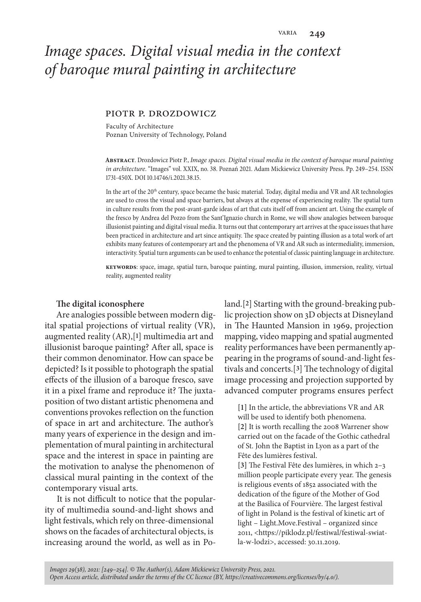# *Image spaces. Digital visual media in the context of baroque mural painting in architecture*

#### piotr p. drozdowicz

Faculty of Architecture Poznan University of Technology, Poland

**Abstract**. Drozdowicz Piotr P., *Image spaces. Digital visual media in the context of baroque mural painting in architecture*. "Images" vol. XXIX, no. 38. Poznań 2021. Adam Mickiewicz University Press. Pp. 249–254. ISSN 1731-450X. DOI 10.14746/i.2021.38.15.

In the art of the 20<sup>th</sup> century, space became the basic material. Today, digital media and VR and AR technologies are used to cross the visual and space barriers, but always at the expense of experiencing reality. The spatial turn in culture results from the post-avant-garde ideas of art that cuts itself off from ancient art. Using the example of the fresco by Andrea del Pozzo from the Sant'Ignazio church in Rome, we will show analogies between baroque illusionist painting and digital visual media. It turns out that contemporary art arrives at the space issues that have been practiced in architecture and art since antiquity. The space created by painting illusion as a total work of art exhibits many features of contemporary art and the phenomena of VR and AR such as intermediality, immersion, interactivity. Spatial turn arguments can be used to enhance the potential of classic painting language in architecture.

**keywords**: space, image, spatial turn, baroque painting, mural painting, illusion, immersion, reality, virtual reality, augmented reality

### **The digital iconosphere**

Are analogies possible between modern digital spatial projections of virtual reality (VR), augmented reality (AR),[**1**] multimedia art and illusionist baroque painting? After all, space is their common denominator. How can space be depicted? Is it possible to photograph the spatial effects of the illusion of a baroque fresco, save it in a pixel frame and reproduce it? The juxtaposition of two distant artistic phenomena and conventions provokes reflection on the function of space in art and architecture. The author's many years of experience in the design and implementation of mural painting in architectural space and the interest in space in painting are the motivation to analyse the phenomenon of classical mural painting in the context of the contemporary visual arts.

It is not difficult to notice that the popularity of multimedia sound-and-light shows and light festivals, which rely on three-dimensional shows on the facades of architectural objects, is increasing around the world, as well as in Poland.[**2**] Starting with the ground-breaking public projection show on 3D objects at Disneyland in The Haunted Mansion in 1969, projection mapping, video mapping and spatial augmented reality performances have been permanently appearing in the programs of sound-and-light festivals and concerts.[**3**] The technology of digital image processing and projection supported by advanced computer programs ensures perfect

**[1]** In the article, the abbreviations VR and AR will be used to identify both phenomena. **[2]** It is worth recalling the 2008 Warrener show carried out on the facade of the Gothic cathedral of St. John the Baptist in Lyon as a part of the Fête des lumières festival.

**[3]** The Festival Fête des lumières, in which 2–3 million people participate every year. The genesis is religious events of 1852 associated with the dedication of the figure of the Mother of God at the Basilica of Fourvière. The largest festival of light in Poland is the festival of kinetic art of light – Light.Move.Festival – organized since 2011, <https://piklodz.pl/festiwal/festiwal-swiatla-w-lodzi>, accessed: 30.11.2019.

*Images 29(38), 2021: [249–254]. © The Author(s), Adam Mickiewicz University Press, 2021. Open Access article, distributed under the terms of the CC licence (BY, https://creativecommons.org/licenses/by/4.0/).*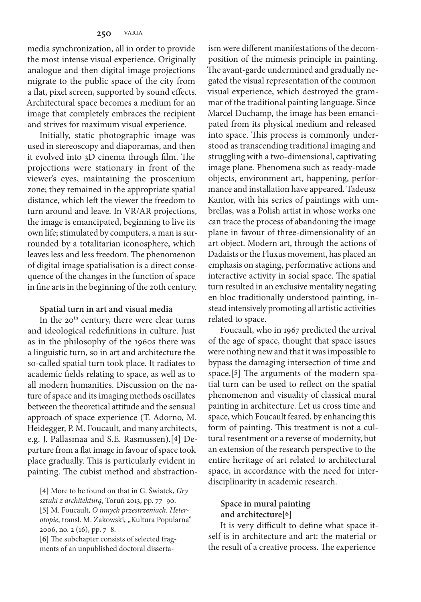media synchronization, all in order to provide the most intense visual experience. Originally analogue and then digital image projections migrate to the public space of the city from a flat, pixel screen, supported by sound effects. Architectural space becomes a medium for an image that completely embraces the recipient and strives for maximum visual experience.

Initially, static photographic image was used in stereoscopy and diaporamas, and then it evolved into 3D cinema through film. The projections were stationary in front of the viewer's eyes, maintaining the proscenium zone; they remained in the appropriate spatial distance, which left the viewer the freedom to turn around and leave. In VR/AR projections, the image is emancipated, beginning to live its own life; stimulated by computers, a man is surrounded by a totalitarian iconosphere, which leaves less and less freedom. The phenomenon of digital image spatialisation is a direct consequence of the changes in the function of space in fine arts in the beginning of the 20th century.

#### **Spatial turn in art and visual media**

In the  $20<sup>th</sup>$  century, there were clear turns and ideological redefinitions in culture. Just as in the philosophy of the 1960s there was a linguistic turn, so in art and architecture the so-called spatial turn took place. It radiates to academic fields relating to space, as well as to all modern humanities. Discussion on the nature of space and its imaging methods oscillates between the theoretical attitude and the sensual approach of space experience (T. Adorno, M. Heidegger, P. M. Foucault, and many architects, e.g. J. Pallasmaa and S.E. Rasmussen).[**4**] Departure from a flat image in favour of space took place gradually. This is particularly evident in painting. The cubist method and abstraction-

**[4]** More to be found on that in G. Światek, *Gry sztuki z architekturą*, Toruń 2013, pp. 77–90. **[5]** M. Foucault, *O innych przestrzeniach. Heter*otopie, transl. M. Żakowski, "Kultura Popularna" 2006, no. 2 (16), pp. 7–8.

**[6]** The subchapter consists of selected fragments of an unpublished doctoral dissertaism were different manifestations of the decomposition of the mimesis principle in painting. The avant-garde undermined and gradually negated the visual representation of the common visual experience, which destroyed the grammar of the traditional painting language. Since Marcel Duchamp, the image has been emancipated from its physical medium and released into space. This process is commonly understood as transcending traditional imaging and struggling with a two-dimensional, captivating image plane. Phenomena such as ready-made objects, environment art, happening, performance and installation have appeared. Tadeusz Kantor, with his series of paintings with umbrellas, was a Polish artist in whose works one can trace the process of abandoning the image plane in favour of three-dimensionality of an art object. Modern art, through the actions of Dadaists or the Fluxus movement, has placed an emphasis on staging, performative actions and interactive activity in social space. The spatial turn resulted in an exclusive mentality negating en bloc traditionally understood painting, instead intensively promoting all artistic activities related to space.

Foucault, who in 1967 predicted the arrival of the age of space, thought that space issues were nothing new and that it was impossible to bypass the damaging intersection of time and space.[**5**] The arguments of the modern spatial turn can be used to reflect on the spatial phenomenon and visuality of classical mural painting in architecture. Let us cross time and space, which Foucault feared, by enhancing this form of painting. This treatment is not a cultural resentment or a reverse of modernity, but an extension of the research perspective to the entire heritage of art related to architectural space, in accordance with the need for interdisciplinarity in academic research.

## **Space in mural painting and architecture[6]**

It is very difficult to define what space itself is in architecture and art: the material or the result of a creative process. The experience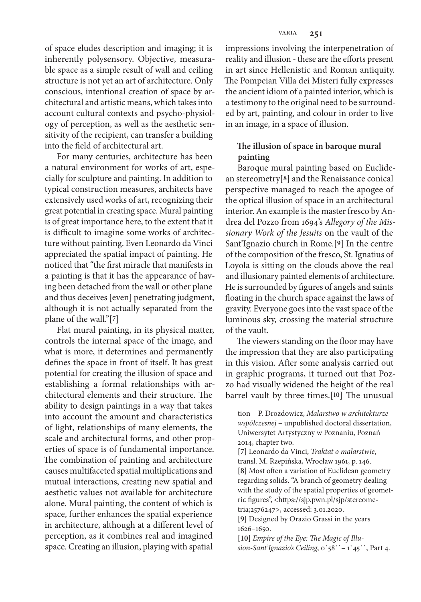of space eludes description and imaging; it is inherently polysensory. Objective, measurable space as a simple result of wall and ceiling structure is not yet an art of architecture. Only conscious, intentional creation of space by architectural and artistic means, which takes into account cultural contexts and psycho-physiology of perception, as well as the aesthetic sensitivity of the recipient, can transfer a building into the field of architectural art.

For many centuries, architecture has been a natural environment for works of art, especially for sculpture and painting. In addition to typical construction measures, architects have extensively used works of art, recognizing their great potential in creating space. Mural painting is of great importance here, to the extent that it is difficult to imagine some works of architecture without painting. Even Leonardo da Vinci appreciated the spatial impact of painting. He noticed that "the first miracle that manifests in a painting is that it has the appearance of having been detached from the wall or other plane and thus deceives [even] penetrating judgment, although it is not actually separated from the plane of the wall."[**7**]

Flat mural painting, in its physical matter, controls the internal space of the image, and what is more, it determines and permanently defines the space in front of itself. It has great potential for creating the illusion of space and establishing a formal relationships with architectural elements and their structure. The ability to design paintings in a way that takes into account the amount and characteristics of light, relationships of many elements, the scale and architectural forms, and other properties of space is of fundamental importance. The combination of painting and architecture causes multifaceted spatial multiplications and mutual interactions, creating new spatial and aesthetic values not available for architecture alone. Mural painting, the content of which is space, further enhances the spatial experience in architecture, although at a different level of perception, as it combines real and imagined space. Creating an illusion, playing with spatial

impressions involving the interpenetration of reality and illusion - these are the efforts present in art since Hellenistic and Roman antiquity. The Pompeian Villa dei Misteri fully expresses the ancient idiom of a painted interior, which is a testimony to the original need to be surrounded by art, painting, and colour in order to live in an image, in a space of illusion.

# **The illusion of space in baroque mural painting**

Baroque mural painting based on Euclidean stereometry[**8**] and the Renaissance conical perspective managed to reach the apogee of the optical illusion of space in an architectural interior. An example is the master fresco by Andrea del Pozzo from 1694's *Allegory of the Missionary Work of the Jesuits* on the vault of the Sant'Ignazio church in Rome.[**9**] In the centre of the composition of the fresco, St. Ignatius of Loyola is sitting on the clouds above the real and illusionary painted elements of architecture. He is surrounded by figures of angels and saints floating in the church space against the laws of gravity. Everyone goes into the vast space of the luminous sky, crossing the material structure of the vault.

The viewers standing on the floor may have the impression that they are also participating in this vision. After some analysis carried out in graphic programs, it turned out that Pozzo had visually widened the height of the real barrel vault by three times.[**10**] The unusual

tion – P. Drozdowicz, *Malarstwo w architekturze współczesnej* – unpublished doctoral dissertation, Uniwersytet Artystyczny w Poznaniu, Poznań 2014, chapter two.

**[7]** Leonardo da Vinci, *Traktat o malarstwie*, transl. M. Rzepińska, Wrocław 1961, p. 146. **[8]** Most often a variation of Euclidean geometry regarding solids. "A branch of geometry dealing with the study of the spatial properties of geometric figures", <https://sjp.pwn.pl/sjp/stereometria;2576247>, accessed: 3.01.2020.

**[9]** Designed by Orazio Grassi in the years 1626–1650.

**[10]** *Empire of the Eye: The Magic of Illusion-Sant'Ignazio's Ceiling*, 0`58``– 1`45``, Part 4.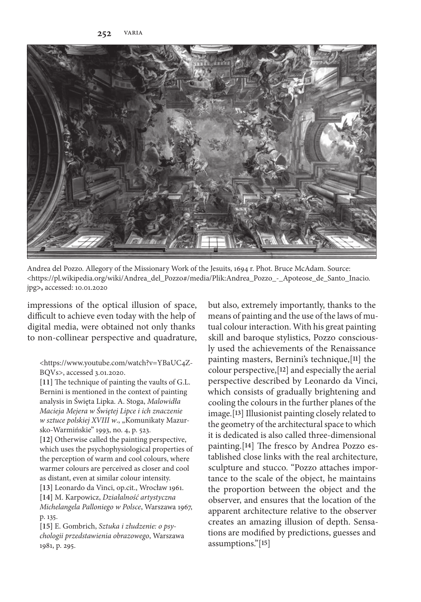

Andrea del Pozzo. Allegory of the Missionary Work of the Jesuits, 1694 r. Phot. Bruce McAdam. Source: <https://pl.wikipedia.org/wiki/Andrea\_del\_Pozzo#/media/Plik:Andrea\_Pozzo\_-\_Apoteose\_de\_Santo\_Inacio. jpg**>,** accessed: 10.01.2020

impressions of the optical illusion of space, difficult to achieve even today with the help of digital media, were obtained not only thanks to non-collinear perspective and quadrature,

<https://www.youtube.com/watch?v=YBaUC4Z-BQVs>, accessed 3.01.2020.

**[11]** The technique of painting the vaults of G.L. Bernini is mentioned in the context of painting analysis in Święta Lipka. A. Stoga, *Malowidła Macieja Mejera w Świętej Lipce i ich znaczenie w sztuce polskiej XVIII w.*, "Komunikaty Mazursko-Warmińskie" 1993, no. 4, p. 523.

**[12]** Otherwise called the painting perspective, which uses the psychophysiological properties of the perception of warm and cool colours, where warmer colours are perceived as closer and cool as distant, even at similar colour intensity.

**[13]** Leonardo da Vinci, op.cit., Wrocław 1961. **[14]** M. Karpowicz, *Działalność artystyczna Michelangela Palloniego w Polsce*, Warszawa 1967, p. 135.

**[15]** E. Gombrich, *Sztuka i złudzenie: o psychologii przedstawienia obrazowego*, Warszawa 1981, p. 295.

but also, extremely importantly, thanks to the means of painting and the use of the laws of mutual colour interaction. With his great painting skill and baroque stylistics, Pozzo consciously used the achievements of the Renaissance painting masters, Bernini's technique,[**11**] the colour perspective,[**12**] and especially the aerial perspective described by Leonardo da Vinci, which consists of gradually brightening and cooling the colours in the further planes of the image.[**13**] Illusionist painting closely related to the geometry of the architectural space to which it is dedicated is also called three-dimensional painting.[**14**] The fresco by Andrea Pozzo established close links with the real architecture, sculpture and stucco. "Pozzo attaches importance to the scale of the object, he maintains the proportion between the object and the observer, and ensures that the location of the apparent architecture relative to the observer creates an amazing illusion of depth. Sensations are modified by predictions, guesses and assumptions."[**15**]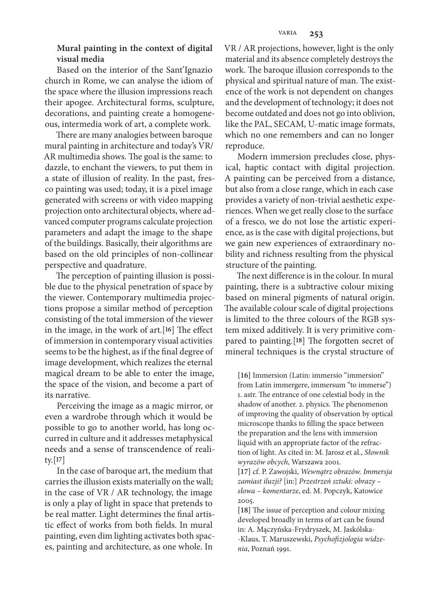## **Mural painting in the context of digital visual media**

Based on the interior of the Sant'Ignazio church in Rome, we can analyse the idiom of the space where the illusion impressions reach their apogee. Architectural forms, sculpture, decorations, and painting create a homogeneous, intermedia work of art, a complete work.

There are many analogies between baroque mural painting in architecture and today's VR/ AR multimedia shows. The goal is the same: to dazzle, to enchant the viewers, to put them in a state of illusion of reality. In the past, fresco painting was used; today, it is a pixel image generated with screens or with video mapping projection onto architectural objects, where advanced computer programs calculate projection parameters and adapt the image to the shape of the buildings. Basically, their algorithms are based on the old principles of non-collinear perspective and quadrature.

The perception of painting illusion is possible due to the physical penetration of space by the viewer. Contemporary multimedia projections propose a similar method of perception consisting of the total immersion of the viewer in the image, in the work of art.[**16**] The effect of immersion in contemporary visual activities seems to be the highest, as if the final degree of image development, which realizes the eternal magical dream to be able to enter the image, the space of the vision, and become a part of its narrative.

Perceiving the image as a magic mirror, or even a wardrobe through which it would be possible to go to another world, has long occurred in culture and it addresses metaphysical needs and a sense of transcendence of reality.[**17**]

In the case of baroque art, the medium that carries the illusion exists materially on the wall; in the case of VR / AR technology, the image is only a play of light in space that pretends to be real matter. Light determines the final artistic effect of works from both fields. In mural painting, even dim lighting activates both spaces, painting and architecture, as one whole. In

VR / AR projections, however, light is the only material and its absence completely destroys the work. The baroque illusion corresponds to the physical and spiritual nature of man. The existence of the work is not dependent on changes and the development of technology; it does not become outdated and does not go into oblivion, like the PAL, SECAM, U-matic image formats, which no one remembers and can no longer reproduce.

Modern immersion precludes close, physical, haptic contact with digital projection. A painting can be perceived from a distance, but also from a close range, which in each case provides a variety of non-trivial aesthetic experiences. When we get really close to the surface of a fresco, we do not lose the artistic experience, as is the case with digital projections, but we gain new experiences of extraordinary nobility and richness resulting from the physical structure of the painting.

The next difference is in the colour. In mural painting, there is a subtractive colour mixing based on mineral pigments of natural origin. The available colour scale of digital projections is limited to the three colours of the RGB system mixed additively. It is very primitive compared to painting.[**18**] The forgotten secret of mineral techniques is the crystal structure of

**[16]** Immersion (Latin: immersio "immersion" from Latin immergere, immersum "to immerse") 1. astr. The entrance of one celestial body in the shadow of another. 2. physics. The phenomenon of improving the quality of observation by optical microscope thanks to filling the space between the preparation and the lens with immersion liquid with an appropriate factor of the refraction of light. As cited in: M. Jarosz et al., *Słownik wyrazów obcych*, Warszawa 2001.

**[17]** cf. P. Zawojski, *Wewnątrz obrazów. Immersja zamiast iluzji?* [in:] *Przestrzeń sztuki: obrazy – słowa – komentarze*, ed. M. Popczyk, Katowice 2005.

**[18]** The issue of perception and colour mixing developed broadly in terms of art can be found in: A. Mączyńska-Frydryszek, M. Jaskólska- -Klaus, T. Maruszewski, *Psychofizjologia widzenia*, Poznań 1991.